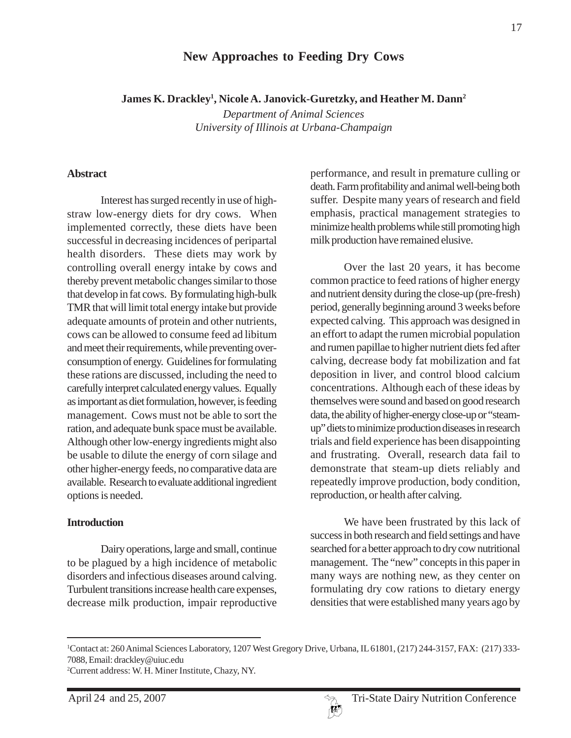# **New Approaches to Feeding Dry Cows**

**James K. Drackley1 , Nicole A. Janovick-Guretzky, and Heather M. Dann2**

*Department of Animal Sciences University of Illinois at Urbana-Champaign*

#### **Abstract**

Interest has surged recently in use of highstraw low-energy diets for dry cows. When implemented correctly, these diets have been successful in decreasing incidences of peripartal health disorders. These diets may work by controlling overall energy intake by cows and thereby prevent metabolic changes similar to those that develop in fat cows. By formulating high-bulk TMR that will limit total energy intake but provide adequate amounts of protein and other nutrients, cows can be allowed to consume feed ad libitum and meet their requirements, while preventing overconsumption of energy. Guidelines for formulating these rations are discussed, including the need to carefully interpret calculated energy values. Equally as important as diet formulation, however, is feeding management. Cows must not be able to sort the ration, and adequate bunk space must be available. Although other low-energy ingredients might also be usable to dilute the energy of corn silage and other higher-energy feeds, no comparative data are available. Research to evaluate additional ingredient options is needed.

### **Introduction**

Dairy operations, large and small, continue to be plagued by a high incidence of metabolic disorders and infectious diseases around calving. Turbulent transitions increase health care expenses, decrease milk production, impair reproductive performance, and result in premature culling or death. Farm profitability and animal well-being both suffer. Despite many years of research and field emphasis, practical management strategies to minimize health problems while still promoting high milk production have remained elusive.

Over the last 20 years, it has become common practice to feed rations of higher energy and nutrient density during the close-up (pre-fresh) period, generally beginning around 3 weeks before expected calving. This approach was designed in an effort to adapt the rumen microbial population and rumen papillae to higher nutrient diets fed after calving, decrease body fat mobilization and fat deposition in liver, and control blood calcium concentrations. Although each of these ideas by themselves were sound and based on good research data, the ability of higher-energy close-up or "steamup" diets to minimize production diseases in research trials and field experience has been disappointing and frustrating. Overall, research data fail to demonstrate that steam-up diets reliably and repeatedly improve production, body condition, reproduction, or health after calving.

We have been frustrated by this lack of success in both research and field settings and have searched for a better approach to dry cow nutritional management. The "new" concepts in this paper in many ways are nothing new, as they center on formulating dry cow rations to dietary energy densities that were established many years ago by



<sup>1</sup> Contact at: 260 Animal Sciences Laboratory, 1207 West Gregory Drive, Urbana, IL 61801, (217) 244-3157, FAX: (217) 333- 7088, Email: drackley@uiuc.edu

<sup>2</sup> Current address: W. H. Miner Institute, Chazy, NY.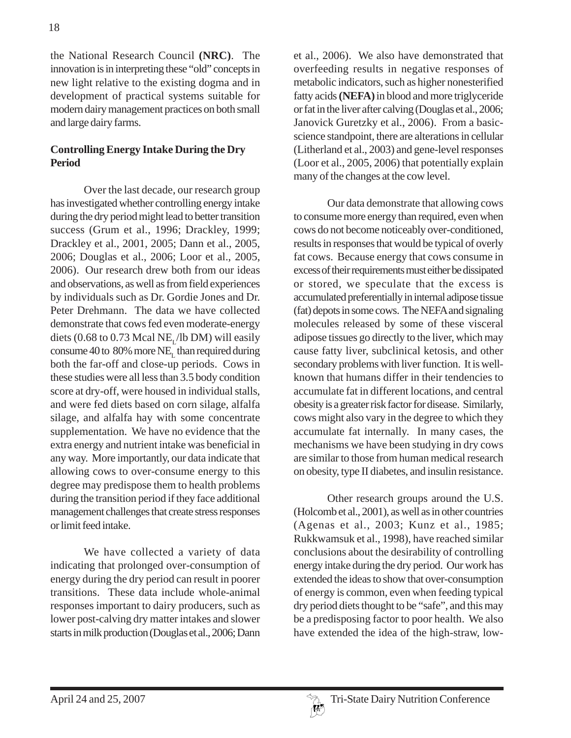the National Research Council **(NRC)**. The innovation is in interpreting these "old" concepts in new light relative to the existing dogma and in development of practical systems suitable for modern dairy management practices on both small and large dairy farms.

## **Controlling Energy Intake During the Dry Period**

Over the last decade, our research group has investigated whether controlling energy intake during the dry period might lead to better transition success (Grum et al., 1996; Drackley, 1999; Drackley et al., 2001, 2005; Dann et al., 2005, 2006; Douglas et al., 2006; Loor et al., 2005, 2006). Our research drew both from our ideas and observations, as well as from field experiences by individuals such as Dr. Gordie Jones and Dr. Peter Drehmann. The data we have collected demonstrate that cows fed even moderate-energy diets (0.68 to 0.73 Mcal NE<sub> $<sub>1</sub>$ /lb DM) will easily</sub></sub> consume 40 to 80% more NE<sub> $<sub>1</sub>$ </sub> than required during</sub> both the far-off and close-up periods. Cows in these studies were all less than 3.5 body condition score at dry-off, were housed in individual stalls, and were fed diets based on corn silage, alfalfa silage, and alfalfa hay with some concentrate supplementation. We have no evidence that the extra energy and nutrient intake was beneficial in any way. More importantly, our data indicate that allowing cows to over-consume energy to this degree may predispose them to health problems during the transition period if they face additional management challenges that create stress responses or limit feed intake.

We have collected a variety of data indicating that prolonged over-consumption of energy during the dry period can result in poorer transitions. These data include whole-animal responses important to dairy producers, such as lower post-calving dry matter intakes and slower starts in milk production (Douglas et al., 2006; Dann

et al., 2006). We also have demonstrated that overfeeding results in negative responses of metabolic indicators, such as higher nonesterified fatty acids **(NEFA)** in blood and more triglyceride or fat in the liver after calving (Douglas et al., 2006; Janovick Guretzky et al., 2006). From a basicscience standpoint, there are alterations in cellular (Litherland et al., 2003) and gene-level responses (Loor et al., 2005, 2006) that potentially explain many of the changes at the cow level.

Our data demonstrate that allowing cows to consume more energy than required, even when cows do not become noticeably over-conditioned, results in responses that would be typical of overly fat cows. Because energy that cows consume in excess of their requirements must either be dissipated or stored, we speculate that the excess is accumulated preferentially in internal adipose tissue (fat) depots in some cows. The NEFA and signaling molecules released by some of these visceral adipose tissues go directly to the liver, which may cause fatty liver, subclinical ketosis, and other secondary problems with liver function. It is wellknown that humans differ in their tendencies to accumulate fat in different locations, and central obesity is a greater risk factor for disease. Similarly, cows might also vary in the degree to which they accumulate fat internally. In many cases, the mechanisms we have been studying in dry cows are similar to those from human medical research on obesity, type II diabetes, and insulin resistance.

Other research groups around the U.S. (Holcomb et al., 2001), as well as in other countries (Agenas et al., 2003; Kunz et al., 1985; Rukkwamsuk et al., 1998), have reached similar conclusions about the desirability of controlling energy intake during the dry period. Our work has extended the ideas to show that over-consumption of energy is common, even when feeding typical dry period diets thought to be "safe", and this may be a predisposing factor to poor health. We also have extended the idea of the high-straw, low-

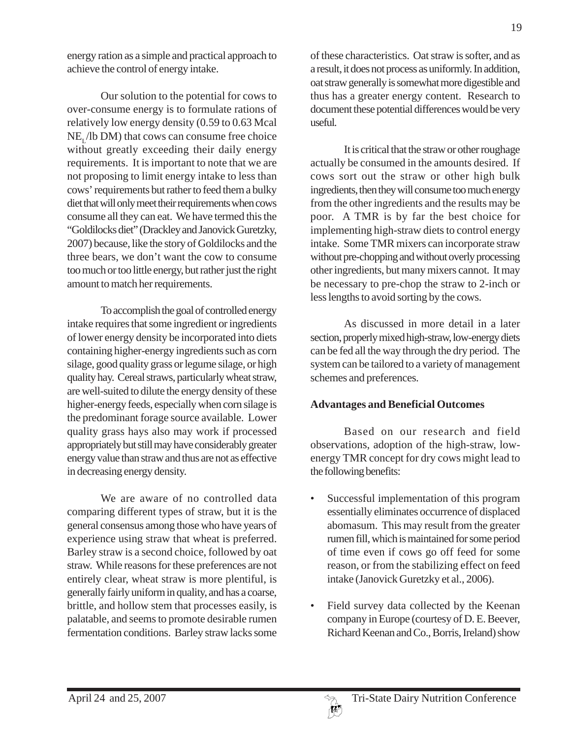energy ration as a simple and practical approach to achieve the control of energy intake.

Our solution to the potential for cows to over-consume energy is to formulate rations of relatively low energy density (0.59 to 0.63 Mcal  $NE$ , *(lb DM)* that cows can consume free choice without greatly exceeding their daily energy requirements. It is important to note that we are not proposing to limit energy intake to less than cows' requirements but rather to feed them a bulky diet that will only meet their requirements when cows consume all they can eat. We have termed this the "Goldilocks diet" (Drackley and Janovick Guretzky, 2007) because, like the story of Goldilocks and the three bears, we don't want the cow to consume too much or too little energy, but rather just the right amount to match her requirements.

To accomplish the goal of controlled energy intake requires that some ingredient or ingredients of lower energy density be incorporated into diets containing higher-energy ingredients such as corn silage, good quality grass or legume silage, or high quality hay. Cereal straws, particularly wheat straw, are well-suited to dilute the energy density of these higher-energy feeds, especially when corn silage is the predominant forage source available. Lower quality grass hays also may work if processed appropriately but still may have considerably greater energy value than straw and thus are not as effective in decreasing energy density.

We are aware of no controlled data comparing different types of straw, but it is the general consensus among those who have years of experience using straw that wheat is preferred. Barley straw is a second choice, followed by oat straw. While reasons for these preferences are not entirely clear, wheat straw is more plentiful, is generally fairly uniform in quality, and has a coarse, brittle, and hollow stem that processes easily, is palatable, and seems to promote desirable rumen fermentation conditions. Barley straw lacks some

of these characteristics. Oat straw is softer, and as a result, it does not process as uniformly. In addition, oat straw generally is somewhat more digestible and thus has a greater energy content. Research to document these potential differences would be very useful.

It is critical that the straw or other roughage actually be consumed in the amounts desired. If cows sort out the straw or other high bulk ingredients, then they will consume too much energy from the other ingredients and the results may be poor. A TMR is by far the best choice for implementing high-straw diets to control energy intake. Some TMR mixers can incorporate straw without pre-chopping and without overly processing other ingredients, but many mixers cannot. It may be necessary to pre-chop the straw to 2-inch or less lengths to avoid sorting by the cows.

As discussed in more detail in a later section, properly mixed high-straw, low-energy diets can be fed all the way through the dry period. The system can be tailored to a variety of management schemes and preferences.

### **Advantages and Beneficial Outcomes**

Based on our research and field observations, adoption of the high-straw, lowenergy TMR concept for dry cows might lead to the following benefits:

- Successful implementation of this program essentially eliminates occurrence of displaced abomasum. This may result from the greater rumen fill, which is maintained for some period of time even if cows go off feed for some reason, or from the stabilizing effect on feed intake (Janovick Guretzky et al., 2006).
- Field survey data collected by the Keenan company in Europe (courtesy of D. E. Beever, Richard Keenan and Co., Borris, Ireland) show

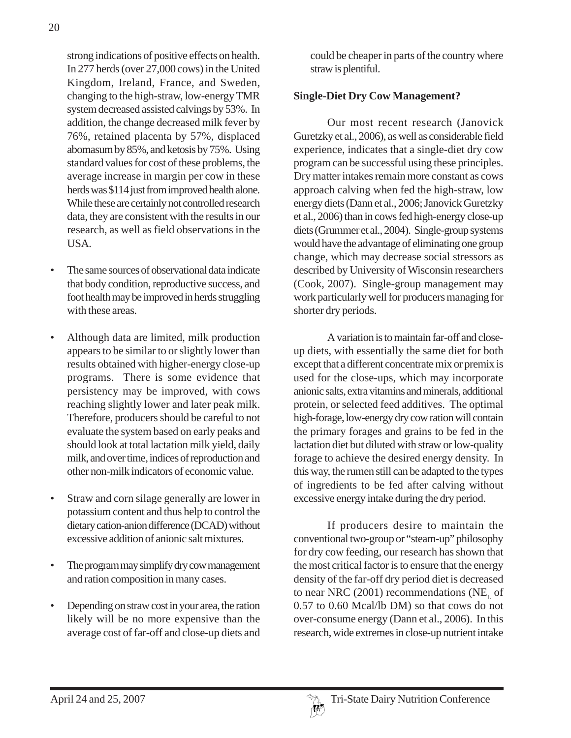strong indications of positive effects on health. In 277 herds (over 27,000 cows) in the United Kingdom, Ireland, France, and Sweden, changing to the high-straw, low-energy TMR system decreased assisted calvings by 53%. In addition, the change decreased milk fever by 76%, retained placenta by 57%, displaced abomasum by 85%, and ketosis by 75%. Using standard values for cost of these problems, the average increase in margin per cow in these herds was \$114 just from improved health alone. While these are certainly not controlled research data, they are consistent with the results in our

• The same sources of observational data indicate that body condition, reproductive success, and foot health may be improved in herds struggling with these areas.

research, as well as field observations in the

- Although data are limited, milk production appears to be similar to or slightly lower than results obtained with higher-energy close-up programs. There is some evidence that persistency may be improved, with cows reaching slightly lower and later peak milk. Therefore, producers should be careful to not evaluate the system based on early peaks and should look at total lactation milk yield, daily milk, and over time, indices of reproduction and other non-milk indicators of economic value.
- Straw and corn silage generally are lower in potassium content and thus help to control the dietary cation-anion difference (DCAD) without excessive addition of anionic salt mixtures.
- The program may simplify dry cow management and ration composition in many cases.
- Depending on straw cost in your area, the ration likely will be no more expensive than the average cost of far-off and close-up diets and

could be cheaper in parts of the country where straw is plentiful.

### **Single-Diet Dry Cow Management?**

Our most recent research (Janovick Guretzky et al., 2006), as well as considerable field experience, indicates that a single-diet dry cow program can be successful using these principles. Dry matter intakes remain more constant as cows approach calving when fed the high-straw, low energy diets (Dann et al., 2006; Janovick Guretzky et al., 2006) than in cows fed high-energy close-up diets (Grummer et al., 2004). Single-group systems would have the advantage of eliminating one group change, which may decrease social stressors as described by University of Wisconsin researchers (Cook, 2007). Single-group management may work particularly well for producers managing for shorter dry periods.

A variation is to maintain far-off and closeup diets, with essentially the same diet for both except that a different concentrate mix or premix is used for the close-ups, which may incorporate anionic salts, extra vitamins and minerals, additional protein, or selected feed additives. The optimal high-forage, low-energy dry cow ration will contain the primary forages and grains to be fed in the lactation diet but diluted with straw or low-quality forage to achieve the desired energy density. In this way, the rumen still can be adapted to the types of ingredients to be fed after calving without excessive energy intake during the dry period.

If producers desire to maintain the conventional two-group or "steam-up" philosophy for dry cow feeding, our research has shown that the most critical factor is to ensure that the energy density of the far-off dry period diet is decreased to near NRC (2001) recommendations (NE<sub>r</sub> of 0.57 to 0.60 Mcal/lb DM) so that cows do not over-consume energy (Dann et al., 2006). In this research, wide extremes in close-up nutrient intake

USA.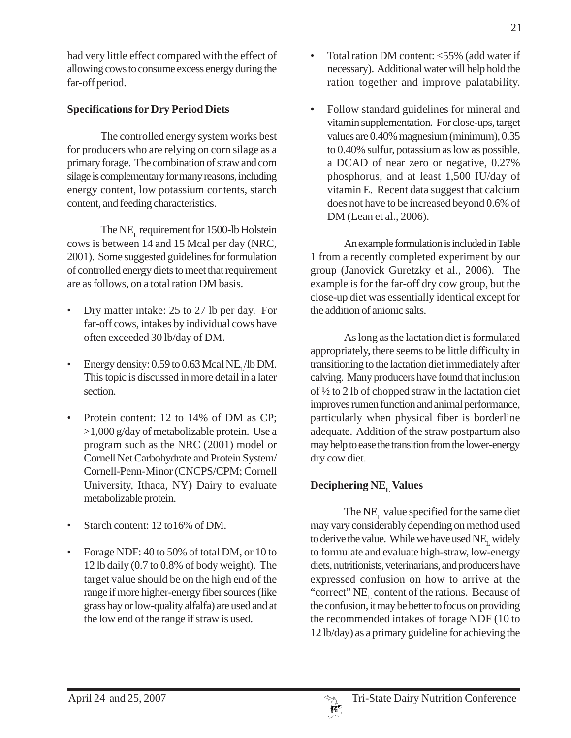had very little effect compared with the effect of allowing cows to consume excess energy during the far-off period.

# **Specifications for Dry Period Diets**

The controlled energy system works best for producers who are relying on corn silage as a primary forage. The combination of straw and corn silage is complementary for many reasons, including energy content, low potassium contents, starch content, and feeding characteristics.

The NE<sub> $r$ </sub> requirement for 1500-lb Holstein cows is between 14 and 15 Mcal per day (NRC, 2001). Some suggested guidelines for formulation of controlled energy diets to meet that requirement are as follows, on a total ration DM basis.

- Dry matter intake: 25 to 27 lb per day. For far-off cows, intakes by individual cows have often exceeded 30 lb/day of DM.
- Energy density:  $0.59$  to  $0.63$  Mcal NE<sub>1</sub>/lb DM. This topic is discussed in more detail in a later section.
- Protein content: 12 to 14% of DM as CP; >1,000 g/day of metabolizable protein. Use a program such as the NRC (2001) model or Cornell Net Carbohydrate and Protein System/ Cornell-Penn-Minor (CNCPS/CPM; Cornell University, Ithaca, NY) Dairy to evaluate metabolizable protein.
- Starch content: 12 to 16% of DM.
- Forage NDF: 40 to 50% of total DM, or 10 to 12 lb daily (0.7 to 0.8% of body weight). The target value should be on the high end of the range if more higher-energy fiber sources (like grass hay or low-quality alfalfa) are used and at the low end of the range if straw is used.

• Total ration DM content: <55% (add water if necessary). Additional water will help hold the ration together and improve palatability.

21

• Follow standard guidelines for mineral and vitamin supplementation. For close-ups, target values are 0.40% magnesium (minimum), 0.35 to 0.40% sulfur, potassium as low as possible, a DCAD of near zero or negative, 0.27% phosphorus, and at least 1,500 IU/day of vitamin E. Recent data suggest that calcium does not have to be increased beyond 0.6% of DM (Lean et al., 2006).

An example formulation is included in Table 1 from a recently completed experiment by our group (Janovick Guretzky et al., 2006). The example is for the far-off dry cow group, but the close-up diet was essentially identical except for the addition of anionic salts.

As long as the lactation diet is formulated appropriately, there seems to be little difficulty in transitioning to the lactation diet immediately after calving. Many producers have found that inclusion of ½ to 2 lb of chopped straw in the lactation diet improves rumen function and animal performance, particularly when physical fiber is borderline adequate. Addition of the straw postpartum also may help to ease the transition from the lower-energy dry cow diet.

# **Deciphering NEL Values**

The  $NE<sub>r</sub>$  value specified for the same diet may vary considerably depending on method used to derive the value. While we have used  $NE$ , widely to formulate and evaluate high-straw, low-energy diets, nutritionists, veterinarians, and producers have expressed confusion on how to arrive at the "correct"  $NE_{\tau}$  content of the rations. Because of the confusion, it may be better to focus on providing the recommended intakes of forage NDF (10 to 12 lb/day) as a primary guideline for achieving the

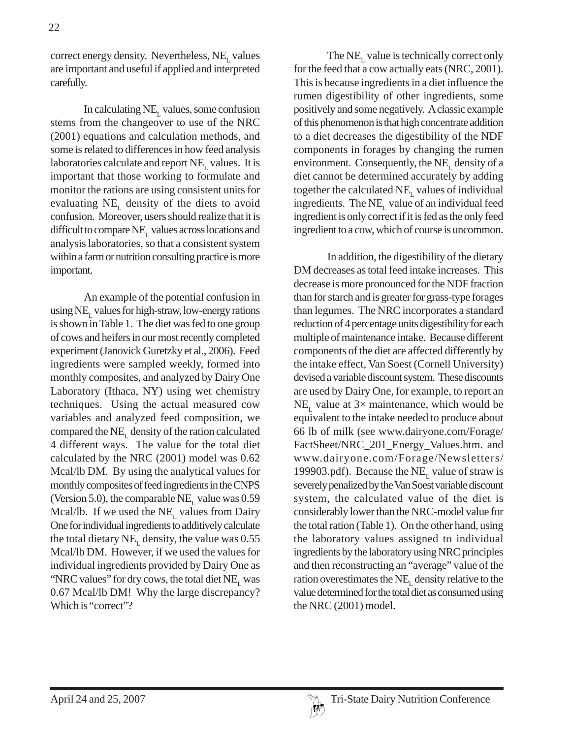correct energy density. Nevertheless,  $NE<sub>r</sub>$  values are important and useful if applied and interpreted carefully.

In calculating  $NE<sub>L</sub>$  values, some confusion stems from the changeover to use of the NRC (2001) equations and calculation methods, and some is related to differences in how feed analysis laboratories calculate and report  $NE_{\text{L}}$  values. It is important that those working to formulate and monitor the rations are using consistent units for evaluating  $NE<sub>L</sub>$  density of the diets to avoid confusion. Moreover, users should realize that it is difficult to compare  $NE<sub>L</sub>$  values across locations and analysis laboratories, so that a consistent system within a farm or nutrition consulting practice is more important.

An example of the potential confusion in using  $NE<sub>r</sub>$  values for high-straw, low-energy rations is shown in Table 1. The diet was fed to one group of cows and heifers in our most recently completed experiment (Janovick Guretzky et al., 2006). Feed ingredients were sampled weekly, formed into monthly composites, and analyzed by Dairy One Laboratory (Ithaca, NY) using wet chemistry techniques. Using the actual measured cow variables and analyzed feed composition, we compared the  $NE<sub>L</sub>$  density of the ration calculated 4 different ways. The value for the total diet calculated by the NRC (2001) model was 0.62 Mcal/lb DM. By using the analytical values for monthly composites of feed ingredients in the CNPS (Version 5.0), the comparable NE<sub>L</sub> value was  $0.59$ Mcal/lb. If we used the  $NE<sub>r</sub>$  values from Dairy One for individual ingredients to additively calculate the total dietary  $NE$ <sub>r</sub> density, the value was  $0.55$ Mcal/lb DM. However, if we used the values for individual ingredients provided by Dairy One as "NRC values" for dry cows, the total diet  $NE<sub>r</sub>$  was 0.67 Mcal/lb DM! Why the large discrepancy? Which is "correct"?

The  $NE<sub>r</sub>$  value is technically correct only for the feed that a cow actually eats (NRC, 2001). This is because ingredients in a diet influence the rumen digestibility of other ingredients, some positively and some negatively. A classic example of this phenomenon is that high concentrate addition to a diet decreases the digestibility of the NDF components in forages by changing the rumen environment. Consequently, the  $NE<sub>r</sub>$  density of a diet cannot be determined accurately by adding together the calculated  $NE<sub>L</sub>$  values of individual ingredients. The  $NE<sub>L</sub>$  value of an individual feed ingredient is only correct if it is fed as the only feed ingredient to a cow, which of course is uncommon.

In addition, the digestibility of the dietary DM decreases as total feed intake increases. This decrease is more pronounced for the NDF fraction than for starch and is greater for grass-type forages than legumes. The NRC incorporates a standard reduction of 4 percentage units digestibility for each multiple of maintenance intake. Because different components of the diet are affected differently by the intake effect, Van Soest (Cornell University) devised a variable discount system. These discounts are used by Dairy One, for example, to report an NE<sub>r</sub> value at  $3\times$  maintenance, which would be equivalent to the intake needed to produce about 66 lb of milk (see www.dairyone.com/Forage/ FactSheet/NRC\_201\_Energy\_Values.htm. and www.dairyone.com/Forage/Newsletters/ 199903.pdf). Because the  $NE$ <sub>r</sub> value of straw is severely penalized by the Van Soest variable discount system, the calculated value of the diet is considerably lower than the NRC-model value for the total ration (Table 1). On the other hand, using the laboratory values assigned to individual ingredients by the laboratory using NRC principles and then reconstructing an "average" value of the ration overestimates the  $NE<sub>r</sub>$  density relative to the value determined for the total diet as consumed using the NRC (2001) model.

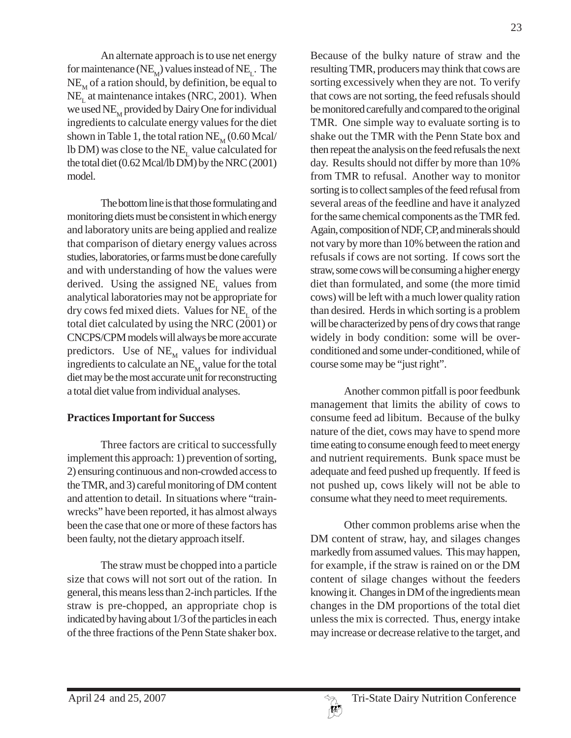An alternate approach is to use net energy for maintenance ( $NE_{M}$ ) values instead of  $NE_{L}$ . The  $NE_{\text{M}}$  of a ration should, by definition, be equal to  $NE_{\text{L}}$  at maintenance intakes (NRC, 2001). When we used  $NE_{\text{M}}$  provided by Dairy One for individual ingredients to calculate energy values for the diet shown in Table 1, the total ration  $NE_{\text{M}}$  (0.60 Mcal/ lb DM) was close to the  $NE<sub>r</sub>$  value calculated for the total diet (0.62 Mcal/lb DM) by the NRC (2001) model.

The bottom line is that those formulating and monitoring diets must be consistent in which energy and laboratory units are being applied and realize that comparison of dietary energy values across studies, laboratories, or farms must be done carefully and with understanding of how the values were derived. Using the assigned  $NE$ , values from analytical laboratories may not be appropriate for dry cows fed mixed diets. Values for  $NE_{\tau}$  of the total diet calculated by using the NRC (2001) or CNCPS/CPM models will always be more accurate predictors. Use of  $NE_{\text{M}}$  values for individual ingredients to calculate an  $NE_{\text{M}}$  value for the total diet may be the most accurate unit for reconstructing a total diet value from individual analyses.

### **Practices Important for Success**

Three factors are critical to successfully implement this approach: 1) prevention of sorting, 2) ensuring continuous and non-crowded access to the TMR, and 3) careful monitoring of DM content and attention to detail. In situations where "trainwrecks" have been reported, it has almost always been the case that one or more of these factors has been faulty, not the dietary approach itself.

The straw must be chopped into a particle size that cows will not sort out of the ration. In general, this means less than 2-inch particles. If the straw is pre-chopped, an appropriate chop is indicated by having about 1/3 of the particles in each of the three fractions of the Penn State shaker box.

Because of the bulky nature of straw and the resulting TMR, producers may think that cows are sorting excessively when they are not. To verify that cows are not sorting, the feed refusals should be monitored carefully and compared to the original TMR. One simple way to evaluate sorting is to shake out the TMR with the Penn State box and then repeat the analysis on the feed refusals the next day. Results should not differ by more than 10% from TMR to refusal. Another way to monitor sorting is to collect samples of the feed refusal from several areas of the feedline and have it analyzed for the same chemical components as the TMR fed. Again, composition of NDF, CP, and minerals should not vary by more than 10% between the ration and refusals if cows are not sorting. If cows sort the straw, some cows will be consuming a higher energy diet than formulated, and some (the more timid cows) will be left with a much lower quality ration than desired. Herds in which sorting is a problem will be characterized by pens of dry cows that range widely in body condition: some will be overconditioned and some under-conditioned, while of course some may be "just right".

Another common pitfall is poor feedbunk management that limits the ability of cows to consume feed ad libitum. Because of the bulky nature of the diet, cows may have to spend more time eating to consume enough feed to meet energy and nutrient requirements. Bunk space must be adequate and feed pushed up frequently. If feed is not pushed up, cows likely will not be able to consume what they need to meet requirements.

Other common problems arise when the DM content of straw, hay, and silages changes markedly from assumed values. This may happen, for example, if the straw is rained on or the DM content of silage changes without the feeders knowing it. Changes in DM of the ingredients mean changes in the DM proportions of the total diet unless the mix is corrected. Thus, energy intake may increase or decrease relative to the target, and

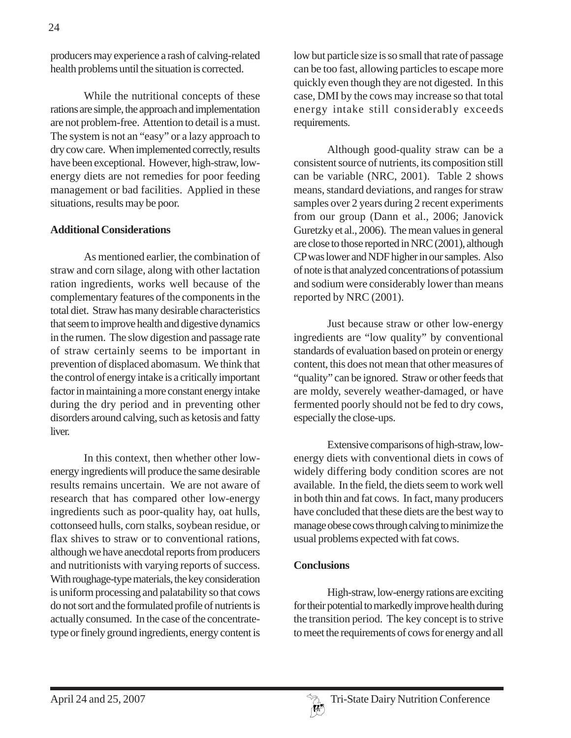producers may experience a rash of calving-related health problems until the situation is corrected.

While the nutritional concepts of these rations are simple, the approach and implementation are not problem-free. Attention to detail is a must. The system is not an "easy" or a lazy approach to dry cow care. When implemented correctly, results have been exceptional. However, high-straw, lowenergy diets are not remedies for poor feeding management or bad facilities. Applied in these situations, results may be poor.

### **Additional Considerations**

As mentioned earlier, the combination of straw and corn silage, along with other lactation ration ingredients, works well because of the complementary features of the components in the total diet. Straw has many desirable characteristics that seem to improve health and digestive dynamics in the rumen. The slow digestion and passage rate of straw certainly seems to be important in prevention of displaced abomasum. We think that the control of energy intake is a critically important factor in maintaining a more constant energy intake during the dry period and in preventing other disorders around calving, such as ketosis and fatty liver.

In this context, then whether other lowenergy ingredients will produce the same desirable results remains uncertain. We are not aware of research that has compared other low-energy ingredients such as poor-quality hay, oat hulls, cottonseed hulls, corn stalks, soybean residue, or flax shives to straw or to conventional rations, although we have anecdotal reports from producers and nutritionists with varying reports of success. With roughage-type materials, the key consideration is uniform processing and palatability so that cows do not sort and the formulated profile of nutrients is actually consumed. In the case of the concentratetype or finely ground ingredients, energy content is low but particle size is so small that rate of passage can be too fast, allowing particles to escape more quickly even though they are not digested. In this case, DMI by the cows may increase so that total energy intake still considerably exceeds requirements.

Although good-quality straw can be a consistent source of nutrients, its composition still can be variable (NRC, 2001). Table 2 shows means, standard deviations, and ranges for straw samples over 2 years during 2 recent experiments from our group (Dann et al., 2006; Janovick Guretzky et al., 2006). The mean values in general are close to those reported in NRC (2001), although CP was lower and NDF higher in our samples. Also of note is that analyzed concentrations of potassium and sodium were considerably lower than means reported by NRC (2001).

Just because straw or other low-energy ingredients are "low quality" by conventional standards of evaluation based on protein or energy content, this does not mean that other measures of "quality" can be ignored. Straw or other feeds that are moldy, severely weather-damaged, or have fermented poorly should not be fed to dry cows, especially the close-ups.

Extensive comparisons of high-straw, lowenergy diets with conventional diets in cows of widely differing body condition scores are not available. In the field, the diets seem to work well in both thin and fat cows. In fact, many producers have concluded that these diets are the best way to manage obese cows through calving to minimize the usual problems expected with fat cows.

### **Conclusions**

High-straw, low-energy rations are exciting for their potential to markedly improve health during the transition period. The key concept is to strive to meet the requirements of cows for energy and all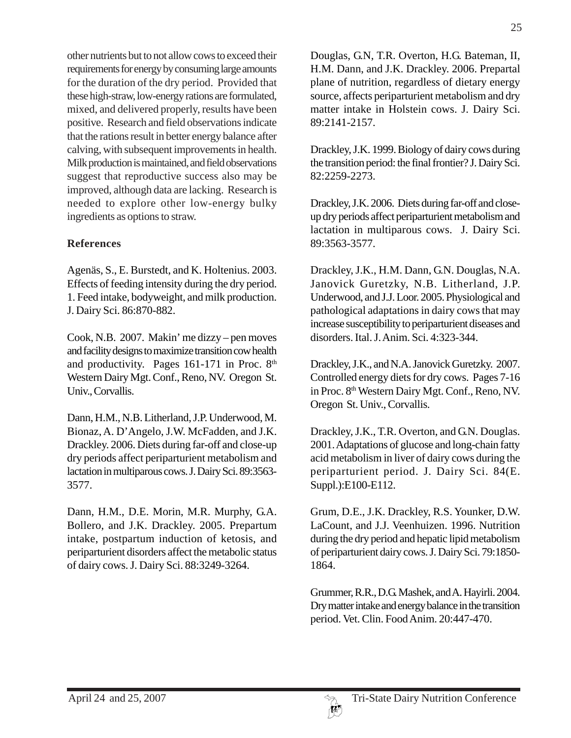other nutrients but to not allow cows to exceed their requirements for energy by consuming large amounts for the duration of the dry period. Provided that these high-straw, low-energy rations are formulated, mixed, and delivered properly, results have been positive. Research and field observations indicate that the rations result in better energy balance after calving, with subsequent improvements in health. Milk production is maintained, and field observations suggest that reproductive success also may be improved, although data are lacking. Research is needed to explore other low-energy bulky ingredients as options to straw.

### **References**

Agenäs, S., E. Burstedt, and K. Holtenius. 2003. Effects of feeding intensity during the dry period. 1. Feed intake, bodyweight, and milk production. J. Dairy Sci. 86:870-882.

Cook, N.B. 2007. Makin' me dizzy – pen moves and facility designs to maximize transition cow health and productivity. Pages  $161-171$  in Proc.  $8<sup>th</sup>$ Western Dairy Mgt. Conf., Reno, NV. Oregon St. Univ., Corvallis.

Dann, H.M., N.B. Litherland, J.P. Underwood, M. Bionaz, A. D'Angelo, J.W. McFadden, and J.K. Drackley. 2006. Diets during far-off and close-up dry periods affect periparturient metabolism and lactation in multiparous cows. J. Dairy Sci. 89:3563- 3577.

Dann, H.M., D.E. Morin, M.R. Murphy, G.A. Bollero, and J.K. Drackley. 2005. Prepartum intake, postpartum induction of ketosis, and periparturient disorders affect the metabolic status of dairy cows. J. Dairy Sci. 88:3249-3264.

Douglas, G.N, T.R. Overton, H.G. Bateman, II, H.M. Dann, and J.K. Drackley. 2006. Prepartal plane of nutrition, regardless of dietary energy source, affects periparturient metabolism and dry matter intake in Holstein cows. J. Dairy Sci. 89:2141-2157.

Drackley, J.K. 1999. Biology of dairy cows during the transition period: the final frontier? J. Dairy Sci. 82:2259-2273.

Drackley, J.K. 2006. Diets during far-off and closeup dry periods affect periparturient metabolism and lactation in multiparous cows. J. Dairy Sci. 89:3563-3577.

Drackley, J.K., H.M. Dann, G.N. Douglas, N.A. Janovick Guretzky, N.B. Litherland, J.P. Underwood, and J.J. Loor. 2005. Physiological and pathological adaptations in dairy cows that may increase susceptibility to periparturient diseases and disorders. Ital. J. Anim. Sci. 4:323-344.

Drackley, J.K., and N.A. Janovick Guretzky. 2007. Controlled energy diets for dry cows. Pages 7-16 in Proc. 8<sup>th</sup> Western Dairy Mgt. Conf., Reno, NV. Oregon St. Univ., Corvallis.

Drackley, J.K., T.R. Overton, and G.N. Douglas. 2001. Adaptations of glucose and long-chain fatty acid metabolism in liver of dairy cows during the periparturient period. J. Dairy Sci. 84(E. Suppl.):E100-E112.

Grum, D.E., J.K. Drackley, R.S. Younker, D.W. LaCount, and J.J. Veenhuizen. 1996. Nutrition during the dry period and hepatic lipid metabolism of periparturient dairy cows. J. Dairy Sci. 79:1850- 1864.

Grummer, R.R., D.G. Mashek, and A. Hayirli. 2004. Dry matter intake and energy balance in the transition period. Vet. Clin. Food Anim. 20:447-470.

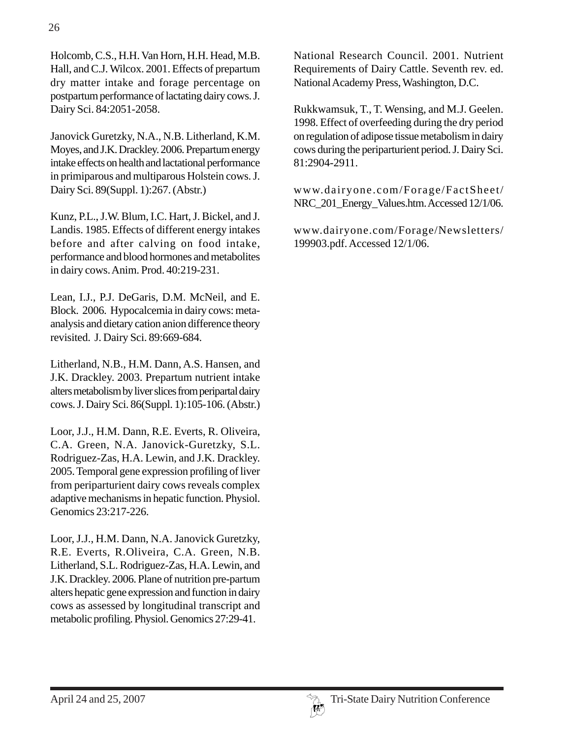Holcomb, C.S., H.H. Van Horn, H.H. Head, M.B. Hall, and C.J. Wilcox. 2001. Effects of prepartum dry matter intake and forage percentage on postpartum performance of lactating dairy cows. J. Dairy Sci. 84:2051-2058.

Janovick Guretzky, N.A., N.B. Litherland, K.M. Moyes, and J.K. Drackley. 2006. Prepartum energy intake effects on health and lactational performance in primiparous and multiparous Holstein cows. J. Dairy Sci. 89(Suppl. 1):267. (Abstr.)

Kunz, P.L., J.W. Blum, I.C. Hart, J. Bickel, and J. Landis. 1985. Effects of different energy intakes before and after calving on food intake, performance and blood hormones and metabolites in dairy cows. Anim. Prod. 40:219-231.

Lean, I.J., P.J. DeGaris, D.M. McNeil, and E. Block. 2006. Hypocalcemia in dairy cows: metaanalysis and dietary cation anion difference theory revisited. J. Dairy Sci. 89:669-684.

Litherland, N.B., H.M. Dann, A.S. Hansen, and J.K. Drackley. 2003. Prepartum nutrient intake alters metabolism by liver slices from peripartal dairy cows. J. Dairy Sci. 86(Suppl. 1):105-106. (Abstr.)

Loor, J.J., H.M. Dann, R.E. Everts, R. Oliveira, C.A. Green, N.A. Janovick-Guretzky, S.L. Rodriguez-Zas, H.A. Lewin, and J.K. Drackley. 2005. Temporal gene expression profiling of liver from periparturient dairy cows reveals complex adaptive mechanisms in hepatic function. Physiol. Genomics 23:217-226.

Loor, J.J., H.M. Dann, N.A. Janovick Guretzky, R.E. Everts, R.Oliveira, C.A. Green, N.B. Litherland, S.L. Rodriguez-Zas, H.A. Lewin, and J.K. Drackley. 2006. Plane of nutrition pre-partum alters hepatic gene expression and function in dairy cows as assessed by longitudinal transcript and metabolic profiling. Physiol. Genomics 27:29-41.

National Research Council. 2001. Nutrient Requirements of Dairy Cattle. Seventh rev. ed. National Academy Press, Washington, D.C.

Rukkwamsuk, T., T. Wensing, and M.J. Geelen. 1998. Effect of overfeeding during the dry period on regulation of adipose tissue metabolism in dairy cows during the periparturient period. J. Dairy Sci. 81:2904-2911.

www.dairyone.com/Forage/FactSheet/ NRC\_201\_Energy\_Values.htm. Accessed 12/1/06.

www.dairyone.com/Forage/Newsletters/ 199903.pdf. Accessed 12/1/06.

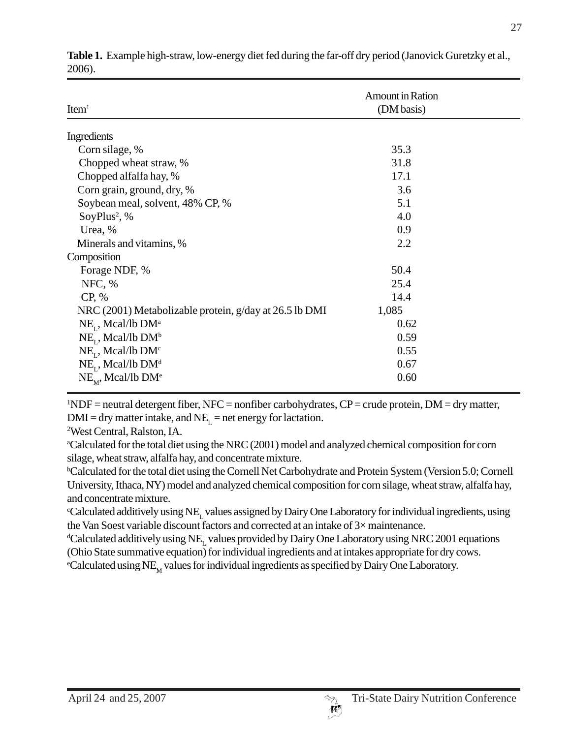27

| Item <sup>1</sup>                                      | Amount in Ration<br>(DM basis) |  |  |
|--------------------------------------------------------|--------------------------------|--|--|
| Ingredients                                            |                                |  |  |
| Corn silage, %                                         | 35.3                           |  |  |
| Chopped wheat straw, %                                 | 31.8                           |  |  |
| Chopped alfalfa hay, %                                 | 17.1                           |  |  |
| Corn grain, ground, dry, %                             | 3.6                            |  |  |
| Soybean meal, solvent, 48% CP, %                       | 5.1                            |  |  |
| SoyPlus <sup>2</sup> , %                               | 4.0                            |  |  |
| Urea, %                                                | 0.9                            |  |  |
| Minerals and vitamins, %                               | 2.2                            |  |  |
| Composition                                            |                                |  |  |
| Forage NDF, %                                          | 50.4                           |  |  |
| NFC, %                                                 | 25.4                           |  |  |
| CP, %                                                  | 14.4                           |  |  |
| NRC (2001) Metabolizable protein, g/day at 26.5 lb DMI | 1,085                          |  |  |
| $NE_{I}$ , Mcal/lb DM <sup>a</sup>                     | 0.62                           |  |  |
| $NE_{\tau}$ , Mcal/lb DM <sup>b</sup>                  | 0.59                           |  |  |
| $NE_{r}$ , Mcal/lb DM <sup>c</sup>                     | 0.55                           |  |  |
| $NE_{I}$ , Mcal/lb DM <sup>d</sup>                     | 0.67                           |  |  |
| $NE_{M}$ , Mcal/lb DM <sup>e</sup>                     | 0.60                           |  |  |

**Table 1.** Example high-straw, low-energy diet fed during the far-off dry period (Janovick Guretzky et al., 2006).

 $1^1$ NDF = neutral detergent fiber, NFC = nonfiber carbohydrates, CP = crude protein, DM = dry matter,  $DMI = dry$  matter intake, and NE<sub>L</sub> = net energy for lactation.

2 West Central, Ralston, IA.

a Calculated for the total diet using the NRC (2001) model and analyzed chemical composition for corn silage, wheat straw, alfalfa hay, and concentrate mixture.

b Calculated for the total diet using the Cornell Net Carbohydrate and Protein System (Version 5.0; Cornell University, Ithaca, NY) model and analyzed chemical composition for corn silage, wheat straw, alfalfa hay, and concentrate mixture.

 $\rm ^cCalculated$  additively using  $\rm NE_{L}$  values assigned by Dairy One Laboratory for individual ingredients, using the Van Soest variable discount factors and corrected at an intake of 3× maintenance.

 $\rm ^4$ Calculated additively using NE<sub>L</sub> values provided by Dairy One Laboratory using NRC 2001 equations (Ohio State summative equation) for individual ingredients and at intakes appropriate for dry cows.  $\rm ^eCalculated$  using  $\rm NE_{\rm M}$  values for individual ingredients as specified by Dairy One Laboratory.